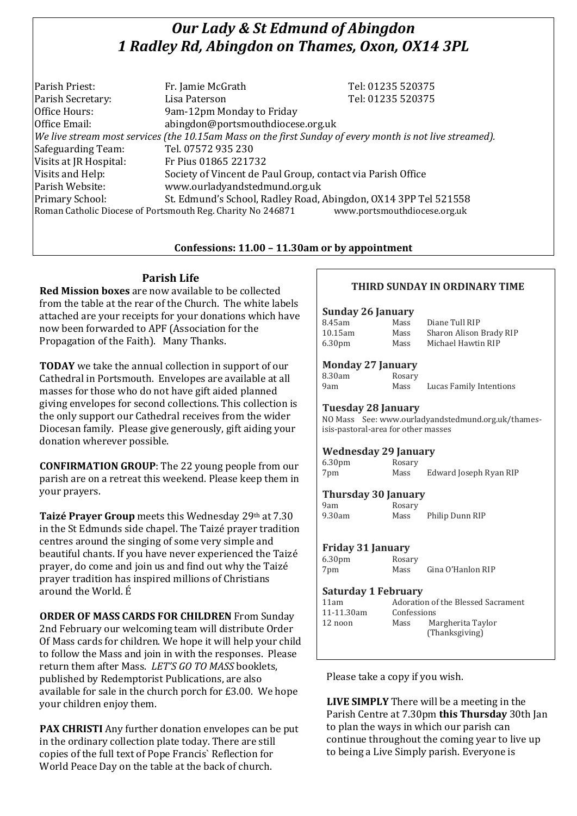# *Our Lady & St Edmund of Abingdon 1 Radley Rd, Abingdon on Thames, Oxon, OX14 3PL*

| Parish Priest:         | Fr. Jamie McGrath                                                                                        | Tel: 01235 520375            |
|------------------------|----------------------------------------------------------------------------------------------------------|------------------------------|
| Parish Secretary:      | Lisa Paterson                                                                                            | Tel: 01235 520375            |
| Office Hours:          | 9am-12pm Monday to Friday                                                                                |                              |
| Office Email:          | abingdon@portsmouthdiocese.org.uk                                                                        |                              |
|                        | We live stream most services (the 10.15am Mass on the first Sunday of every month is not live streamed). |                              |
| Safeguarding Team:     | Tel. 07572 935 230                                                                                       |                              |
| Visits at JR Hospital: | Fr Pius 01865 221732                                                                                     |                              |
| Visits and Help:       | Society of Vincent de Paul Group, contact via Parish Office                                              |                              |
| Parish Website:        | www.ourladyandstedmund.org.uk                                                                            |                              |
| Primary School:        | St. Edmund's School, Radley Road, Abingdon, OX14 3PP Tel 521558                                          |                              |
|                        | Roman Catholic Diocese of Portsmouth Reg. Charity No 246871                                              | www.portsmouthdiocese.org.uk |

# **Confessions: 11.00 – 11.30am or by appointment**

# **Parish Life**

**Red Mission boxes** are now available to be collected from the table at the rear of the Church. The white labels attached are your receipts for your donations which have now been forwarded to APF (Association for the Propagation of the Faith). Many Thanks.

**TODAY** we take the annual collection in support of our Cathedral in Portsmouth. Envelopes are available at all masses for those who do not have gift aided planned giving envelopes for second collections. This collection is the only support our Cathedral receives from the wider Diocesan family. Please give generously, gift aiding your donation wherever possible.

**CONFIRMATION GROUP**: The 22 young people from our parish are on a retreat this weekend. Please keep them in your prayers.

**Taizé Prayer Group** meets this Wednesday 29th at 7.30 in the St Edmunds side chapel. The Taizé prayer tradition centres around the singing of some very simple and beautiful chants. If you have never experienced the Taizé prayer, do come and join us and find out why the Taizé prayer tradition has inspired millions of Christians around the World. É

**ORDER OF MASS CARDS FOR CHILDREN** From Sunday 2nd February our welcoming team will distribute Order Of Mass cards for children. We hope it will help your child to follow the Mass and join in with the responses. Please return them after Mass. *LET'S GO TO MASS* booklets, published by Redemptorist Publications, are also available for sale in the church porch for £3.00. We hope your children enjoy them.

**PAX CHRISTI** Any further donation envelopes can be put in the ordinary collection plate today. There are still copies of the full text of Pope Francis` Reflection for World Peace Day on the table at the back of church.

# **THIRD SUNDAY IN ORDINARY TIME**

#### **Sunday 26 January**

| 8.45am             | Mass | Diane Tull RIP          |
|--------------------|------|-------------------------|
| 10.15am            | Mass | Sharon Alison Brady RIP |
| 6.30 <sub>pm</sub> | Mass | Michael Hawtin RIP      |

#### **Monday 27 January**

| 3.30am | Rosary |
|--------|--------|
| Эam    | Mass   |

Mass Lucas Family Intentions

#### **Tuesday 28 January**

NO Mass See: www.ourladyandstedmund.org.uk/thamesisis-pastoral-area for other masses

#### **Wednesday 29 January**

| 6.30 <sub>pm</sub> | Rosary |                        |
|--------------------|--------|------------------------|
| 7pm                | Mass   | Edward Joseph Ryan RIP |

# **Thursday 30 January**

| 9am    | Rosary |
|--------|--------|
| 9.30am | Mass   |

Philip Dunn RIP

# **Friday 31 January**

| 6.30 <sub>pm</sub> | Rosary |                   |
|--------------------|--------|-------------------|
| 7pm                | Mass   | Gina O'Hanlon RIP |
|                    |        |                   |

#### **Saturday 1 February**

| 11am       | Adoration of the Blessed Sacrament |                                     |
|------------|------------------------------------|-------------------------------------|
| 11-11.30am | Confessions                        |                                     |
| 12 noon    | Mass                               | Margherita Taylor<br>(Thanksgiving) |

Please take a copy if you wish.

**LIVE SIMPLY** There will be a meeting in the Parish Centre at 7.30pm **this Thursday** 30th Jan to plan the ways in which our parish can continue throughout the coming year to live up to being a Live Simply parish. Everyone is